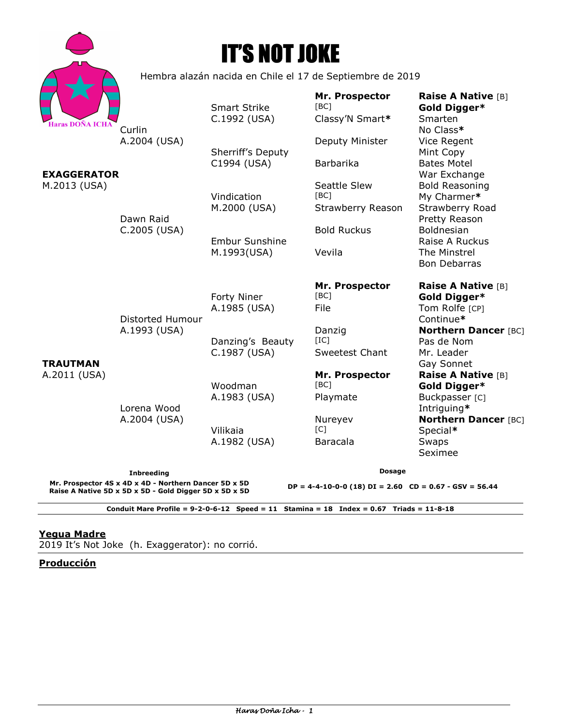|                                                                                                                                      |                                                           | <b>IT'S NOT JOKE</b>                |                                                                               |                                                                            |
|--------------------------------------------------------------------------------------------------------------------------------------|-----------------------------------------------------------|-------------------------------------|-------------------------------------------------------------------------------|----------------------------------------------------------------------------|
|                                                                                                                                      | Hembra alazán nacida en Chile el 17 de Septiembre de 2019 |                                     |                                                                               |                                                                            |
| Haras DOÑA ICHA                                                                                                                      |                                                           | <b>Smart Strike</b><br>C.1992 (USA) | Mr. Prospector<br>[BC]<br>Classy'N Smart*                                     | Raise A Native [B]<br>Gold Digger*<br>Smarten                              |
| <b>EXAGGERATOR</b><br>M.2013 (USA)                                                                                                   | Curlin<br>A.2004 (USA)<br>Dawn Raid<br>C.2005 (USA)       | Sherriff's Deputy<br>C1994 (USA)    | Deputy Minister<br>Barbarika                                                  | No Class*<br>Vice Regent<br>Mint Copy<br><b>Bates Motel</b>                |
|                                                                                                                                      |                                                           | Vindication                         | Seattle Slew<br>[BC]                                                          | War Exchange<br><b>Bold Reasoning</b><br>My Charmer*                       |
|                                                                                                                                      |                                                           | M.2000 (USA)                        | Strawberry Reason<br><b>Bold Ruckus</b>                                       | Strawberry Road<br>Pretty Reason                                           |
|                                                                                                                                      |                                                           | Embur Sunshine<br>M.1993(USA)       | Vevila                                                                        | Boldnesian<br>Raise A Ruckus<br>The Minstrel<br><b>Bon Debarras</b>        |
| <b>TRAUTMAN</b><br>A.2011 (USA)                                                                                                      | Distorted Humour                                          | Forty Niner<br>A.1985 (USA)         | Mr. Prospector<br>[BC]<br>File                                                | Raise A Native [B]<br>Gold Digger*<br>Tom Rolfe [CP]<br>Continue*          |
|                                                                                                                                      | A.1993 (USA)<br>Lorena Wood                               | Danzing's Beauty<br>C.1987 (USA)    | Danzig<br>[IC]<br>Sweetest Chant                                              | <b>Northern Dancer [BC]</b><br>Pas de Nom<br>Mr. Leader<br>Gay Sonnet      |
|                                                                                                                                      |                                                           | Woodman<br>A.1983 (USA)             | Mr. Prospector<br>[BC]<br>Playmate                                            | <b>Raise A Native [B]</b><br>Gold Digger*<br>Buckpasser [C]<br>Intriguing* |
|                                                                                                                                      | A.2004 (USA)                                              | Vilikaia<br>A.1982 (USA)            | Nureyev<br>IC1<br><b>Baracala</b>                                             | <b>Northern Dancer [BC]</b><br>Special*<br>Swaps<br>Seximee                |
| <b>Inbreeding</b><br>Mr. Prospector 4S x 4D x 4D - Northern Dancer 5D x 5D<br>Raise A Native 5D x 5D x 5D - Gold Digger 5D x 5D x 5D |                                                           |                                     | <b>Dosage</b><br>$DP = 4-4-10-0-0$ (18) $DI = 2.60$ $CD = 0.67 - GSV = 56.44$ |                                                                            |

**Conduit Mare Profile = 9-2-0-6-12 Speed = 11 Stamina = 18 Index = 0.67 Triads = 11-8-18** 

# **Yegua Madre**

2019 It's Not Joke (h. Exaggerator): no corrió.

# **Producción**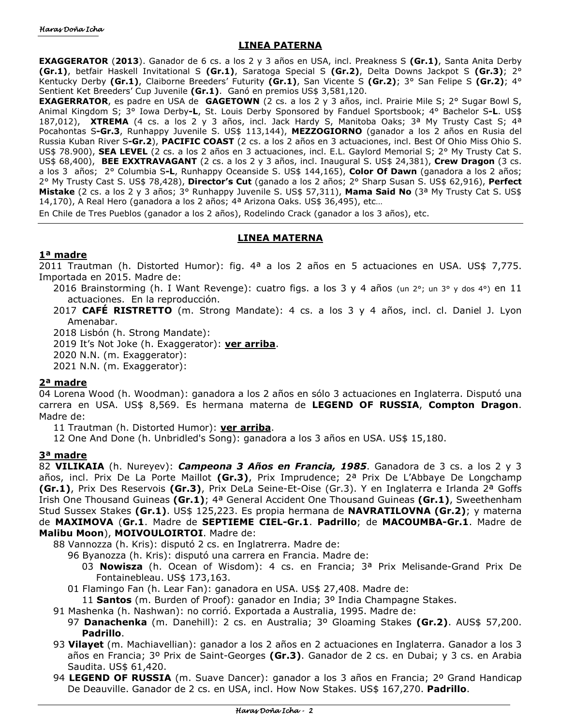## **LINEA PATERNA**

**EXAGGERATOR** (**2013**). Ganador de 6 cs. a los 2 y 3 años en USA, incl. Preakness S **(Gr.1)**, Santa Anita Derby **(Gr.1)**, betfair Haskell Invitational S **(Gr.1)**, Saratoga Special S **(Gr.2)**, Delta Downs Jackpot S **(Gr.3)**; 2° Kentucky Derby **(Gr.1)**, Claiborne Breeders' Futurity **(Gr.1)**, San Vicente S **(Gr.2)**; 3° San Felipe S **(Gr.2)**; 4° Sentient Ket Breeders' Cup Juvenile **(Gr.1)**. Ganó en premios US\$ 3,581,120.

**EXAGERRATOR**, es padre en USA de **GAGETOWN** (2 cs. a los 2 y 3 años, incl. Prairie Mile S; 2° Sugar Bowl S, Animal Kingdom S; 3° Iowa Derby**-L**, St. Louis Derby Sponsored by Fanduel Sportsbook; 4° Bachelor S**-L**. US\$ 187,012), **XTREMA** (4 cs. a los 2 y 3 años, incl. Jack Hardy S, Manitoba Oaks; 3ª My Trusty Cast S; 4ª Pocahontas S**-Gr.3**, Runhappy Juvenile S. US\$ 113,144), **MEZZOGIORNO** (ganador a los 2 años en Rusia del Russia Kuban River S**-Gr.2**), **PACIFIC COAST** (2 cs. a los 2 años en 3 actuaciones, incl. Best Of Ohio Miss Ohio S. US\$ 78.900), **SEA LEVEL** (2 cs. a los 2 años en 3 actuaciones, incl. E.L. Gaylord Memorial S; 2° My Trusty Cat S. US\$ 68,400), **BEE EXXTRAVAGANT** (2 cs. a los 2 y 3 años, incl. Inaugural S. US\$ 24,381), **Crew Dragon** (3 cs. a los 3 años; 2° Columbia S**-L**, Runhappy Oceanside S. US\$ 144,165), **Color Of Dawn** (ganadora a los 2 años; 2° My Trusty Cast S. US\$ 78,428), **Director's Cut** (ganado a los 2 años; 2° Sharp Susan S. US\$ 62,916), **Perfect Mistake** (2 cs. a los 2 y 3 años; 3° Runhappy Juvenile S. US\$ 57,311), **Mama Said No** (3ª My Trusty Cat S. US\$ 14,170), A Real Hero (ganadora a los 2 años; 4ª Arizona Oaks. US\$ 36,495), etc...

En Chile de Tres Pueblos (ganador a los 2 años), Rodelindo Crack (ganador a los 3 años), etc.

# **LINEA MATERNA**

## **1ª madre**

2011 Trautman (h. Distorted Humor): fig. 4<sup>a</sup> a los 2 años en 5 actuaciones en USA. US\$ 7,775. Importada en 2015. Madre de:

2016 Brainstorming (h. I Want Revenge): cuatro figs. a los 3 y 4 años (un 2°; un 3° y dos 4°) en 11 actuaciones. En la reproducción.

2017 **CAFÉ RISTRETTO** (m. Strong Mandate): 4 cs. a los 3 y 4 años, incl. cl. Daniel J. Lyon Amenabar.

2018 Lisbón (h. Strong Mandate):

2019 It's Not Joke (h. Exaggerator): **ver arriba**.

2020 N.N. (m. Exaggerator):

2021 N.N. (m. Exaggerator):

## **2ª madre**

04 Lorena Wood (h. Woodman): ganadora a los 2 años en sólo 3 actuaciones en Inglaterra. Disputó una carrera en USA. US\$ 8,569. Es hermana materna de **LEGEND OF RUSSIA**, **Compton Dragon**. Madre de:

11 Trautman (h. Distorted Humor): **ver arriba**.

12 One And Done (h. Unbridled's Song): ganadora a los 3 años en USA. US\$ 15,180.

## **3ª madre**

82 **VILIKAIA** (h. Nureyev): *Campeona 3 Años en Francia, 1985*. Ganadora de 3 cs. a los 2 y 3 años, incl. Prix De La Porte Maillot **(Gr.3)**, Prix Imprudence; 2ª Prix De L'Abbaye De Longchamp **(Gr.1)**, Prix Des Reservois **(Gr.3)**, Prix DeLa Seine-Et-Oise (Gr.3). Y en Inglaterra e Irlanda 2ª Goffs Irish One Thousand Guineas **(Gr.1)**; 4ª General Accident One Thousand Guineas **(Gr.1)**, Sweethenham Stud Sussex Stakes **(Gr.1)**. US\$ 125,223. Es propia hermana de **NAVRATILOVNA (Gr.2)**; y materna de **MAXIMOVA** (**Gr.1**. Madre de **SEPTIEME CIEL-Gr.1**. **Padrillo**; de **MACOUMBA-Gr.1**. Madre de **Malibu Moon**), **MOIVOULOIRTOI**. Madre de:

88 Vannozza (h. Kris): disputó 2 cs. en Inglatrerra. Madre de:

96 Byanozza (h. Kris): disputó una carrera en Francia. Madre de:

03 **Nowisza** (h. Ocean of Wisdom): 4 cs. en Francia; 3ª Prix Melisande-Grand Prix De Fontainebleau. US\$ 173,163.

01 Flamingo Fan (h. Lear Fan): ganadora en USA. US\$ 27,408. Madre de:

11 **Santos** (m. Burden of Proof): ganador en India; 3º India Champagne Stakes.

- 91 Mashenka (h. Nashwan): no corrió. Exportada a Australia, 1995. Madre de:
	- 97 **Danachenka** (m. Danehill): 2 cs. en Australia; 3º Gloaming Stakes **(Gr.2)**. AUS\$ 57,200. **Padrillo**.
- 93 **Vilayet** (m. Machiavellian): ganador a los 2 años en 2 actuaciones en Inglaterra. Ganador a los 3 años en Francia; 3º Prix de Saint-Georges **(Gr.3)**. Ganador de 2 cs. en Dubai; y 3 cs. en Arabia Saudita. US\$ 61,420.
- 94 **LEGEND OF RUSSIA** (m. Suave Dancer): ganador a los 3 años en Francia; 2º Grand Handicap De Deauville. Ganador de 2 cs. en USA, incl. How Now Stakes. US\$ 167,270. **Padrillo**.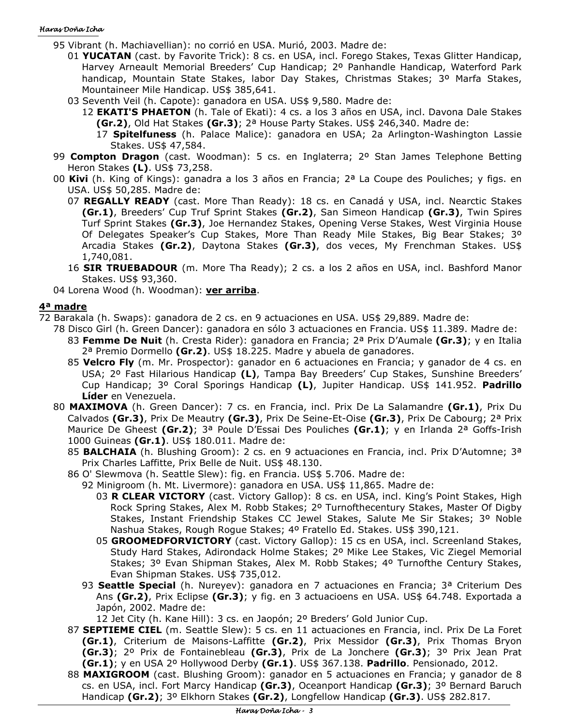#### Haras Doña Icha

- 95 Vibrant (h. Machiavellian): no corrió en USA. Murió, 2003. Madre de:
	- 01 **YUCATAN** (cast. by Favorite Trick): 8 cs. en USA, incl. Forego Stakes, Texas Glitter Handicap, Harvey Arneault Memorial Breeders' Cup Handicap; 2º Panhandle Handicap, Waterford Park handicap, Mountain State Stakes, labor Day Stakes, Christmas Stakes; 3º Marfa Stakes, Mountaineer Mile Handicap. US\$ 385,641.
	- 03 Seventh Veil (h. Capote): ganadora en USA. US\$ 9,580. Madre de:
		- 12 **EKATI'S PHAETON** (h. Tale of Ekati): 4 cs. a los 3 años en USA, incl. Davona Dale Stakes **(Gr.2)**, Old Hat Stakes **(Gr.3)**; 2ª House Party Stakes. US\$ 246,340. Madre de:
			- 17 **Spitelfuness** (h. Palace Malice): ganadora en USA; 2a Arlington-Washington Lassie Stakes. US\$ 47,584.
- 99 **Compton Dragon** (cast. Woodman): 5 cs. en Inglaterra; 2º Stan James Telephone Betting Heron Stakes **(L)**. US\$ 73,258.
- 00 **Kivi** (h. King of Kings): ganadra a los 3 años en Francia; 2ª La Coupe des Pouliches; y figs. en USA. US\$ 50,285. Madre de:
	- 07 **REGALLY READY** (cast. More Than Ready): 18 cs. en Canadá y USA, incl. Nearctic Stakes **(Gr.1)**, Breeders' Cup Truf Sprint Stakes **(Gr.2)**, San Simeon Handicap **(Gr.3)**, Twin Spires Turf Sprint Stakes **(Gr.3)**, Joe Hernandez Stakes, Opening Verse Stakes, West Virginia House Of Delegates Speaker's Cup Stakes, More Than Ready Mile Stakes, Big Bear Stakes; 3º Arcadia Stakes **(Gr.2)**, Daytona Stakes **(Gr.3)**, dos veces, My Frenchman Stakes. US\$ 1,740,081.
	- 16 **SIR TRUEBADOUR** (m. More Tha Ready); 2 cs. a los 2 años en USA, incl. Bashford Manor Stakes. US\$ 93,360.
- 04 Lorena Wood (h. Woodman): **ver arriba**.

# **4ª madre**

- 72 Barakala (h. Swaps): ganadora de 2 cs. en 9 actuaciones en USA. US\$ 29,889. Madre de:
	- 78 Disco Girl (h. Green Dancer): ganadora en sólo 3 actuaciones en Francia. US\$ 11.389. Madre de: 83 **Femme De Nuit** (h. Cresta Rider): ganadora en Francia; 2ª Prix D'Aumale **(Gr.3)**; y en Italia 2ª Premio Dormello **(Gr.2)**. US\$ 18.225. Madre y abuela de ganadores.
		- 85 **Velcro Fly** (m. Mr. Prospector): ganador en 6 actuaciones en Francia; y ganador de 4 cs. en USA; 2º Fast Hilarious Handicap **(L)**, Tampa Bay Breeders' Cup Stakes, Sunshine Breeders' Cup Handicap; 3º Coral Sporings Handicap **(L)**, Jupiter Handicap. US\$ 141.952. **Padrillo Líder** en Venezuela.
	- 80 **MAXIMOVA** (h. Green Dancer): 7 cs. en Francia, incl. Prix De La Salamandre **(Gr.1)**, Prix Du Calvados **(Gr.3)**, Prix De Meautry **(Gr.3)**, Prix De Seine-Et-Oise **(Gr.3)**, Prix De Cabourg; 2ª Prix Maurice De Gheest **(Gr.2)**; 3ª Poule D'Essai Des Pouliches **(Gr.1)**; y en Irlanda 2ª Goffs-Irish 1000 Guineas **(Gr.1)**. US\$ 180.011. Madre de:
		- 85 **BALCHAIA** (h. Blushing Groom): 2 cs. en 9 actuaciones en Francia, incl. Prix D'Automne; 3ª Prix Charles Laffitte, Prix Belle de Nuit. US\$ 48.130.
		- 86 O' Slewmova (h. Seattle Slew): fig. en Francia. US\$ 5.706. Madre de:
			- 92 Minigroom (h. Mt. Livermore): ganadora en USA. US\$ 11,865. Madre de:
				- 03 **R CLEAR VICTORY** (cast. Victory Gallop): 8 cs. en USA, incl. King's Point Stakes, High Rock Spring Stakes, Alex M. Robb Stakes; 2º Turnofthecentury Stakes, Master Of Digby Stakes, Instant Friendship Stakes CC Jewel Stakes, Salute Me Sir Stakes; 3º Noble Nashua Stakes, Rough Rogue Stakes; 4º Fratello Ed. Stakes. US\$ 390,121.
				- 05 **GROOMEDFORVICTORY** (cast. Victory Gallop): 15 cs en USA, incl. Screenland Stakes, Study Hard Stakes, Adirondack Holme Stakes; 2º Mike Lee Stakes, Vic Ziegel Memorial Stakes; 3º Evan Shipman Stakes, Alex M. Robb Stakes; 4º Turnofthe Century Stakes, Evan Shipman Stakes. US\$ 735,012.
			- 93 **Seattle Special** (h. Nureyev): ganadora en 7 actuaciones en Francia; 3ª Criterium Des Ans **(Gr.2)**, Prix Eclipse **(Gr.3)**; y fig. en 3 actuacioens en USA. US\$ 64.748. Exportada a Japón, 2002. Madre de:
			- 12 Jet City (h. Kane Hill): 3 cs. en Jaopón; 2º Breders' Gold Junior Cup.
		- 87 **SEPTIEME CIEL** (m. Seattle Slew): 5 cs. en 11 actuaciones en Francia, incl. Prix De La Foret **(Gr.1)**, Criterium de Maisons-Laffitte **(Gr.2)**, Prix Messidor **(Gr.3)**, Prix Thomas Bryon **(Gr.3)**; 2º Prix de Fontainebleau **(Gr.3)**, Prix de La Jonchere **(Gr.3)**; 3º Prix Jean Prat **(Gr.1)**; y en USA 2º Hollywood Derby **(Gr.1)**. US\$ 367.138. **Padrillo**. Pensionado, 2012.
		- 88 **MAXIGROOM** (cast. Blushing Groom): ganador en 5 actuaciones en Francia; y ganador de 8 cs. en USA, incl. Fort Marcy Handicap **(Gr.3)**, Oceanport Handicap **(Gr.3)**; 3º Bernard Baruch Handicap **(Gr.2)**; 3º Elkhorn Stakes **(Gr.2)**, Longfellow Handicap **(Gr.3)**. US\$ 282.817.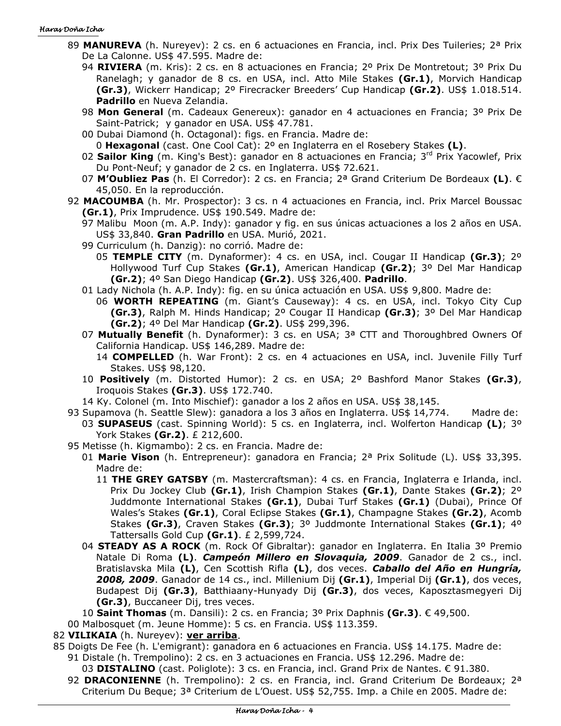#### Haras Doña Icha

- 89 **MANUREVA** (h. Nureyev): 2 cs. en 6 actuaciones en Francia, incl. Prix Des Tuileries; 2ª Prix De La Calonne. US\$ 47.595. Madre de:
	- 94 **RIVIERA** (m. Kris): 2 cs. en 8 actuaciones en Francia; 2º Prix De Montretout; 3º Prix Du Ranelagh; y ganador de 8 cs. en USA, incl. Atto Mile Stakes **(Gr.1)**, Morvich Handicap **(Gr.3)**, Wickerr Handicap; 2º Firecracker Breeders' Cup Handicap **(Gr.2)**. US\$ 1.018.514. **Padrillo** en Nueva Zelandia.
	- 98 **Mon General** (m. Cadeaux Genereux): ganador en 4 actuaciones en Francia; 3º Prix De Saint-Patrick; y ganador en USA. US\$ 47.781.
	- 00 Dubai Diamond (h. Octagonal): figs. en Francia. Madre de: 0 **Hexagonal** (cast. One Cool Cat): 2º en Inglaterra en el Rosebery Stakes **(L)**.
	- 02 **Sailor King** (m. King's Best): ganador en 8 actuaciones en Francia; 3<sup>rd</sup> Prix Yacowlef, Prix Du Pont-Neuf; y ganador de 2 cs. en Inglaterra. US\$ 72.621.
	- 07 **M'Oubliez Pas** (h. El Corredor): 2 cs. en Francia; 2ª Grand Criterium De Bordeaux **(L)**. € 45,050. En la reproducción.
- 92 **MACOUMBA** (h. Mr. Prospector): 3 cs. n 4 actuaciones en Francia, incl. Prix Marcel Boussac **(Gr.1)**, Prix Imprudence. US\$ 190.549. Madre de:
	- 97 Malibu Moon (m. A.P. Indy): ganador y fig. en sus únicas actuaciones a los 2 años en USA. US\$ 33,840. **Gran Padrillo** en USA. Murió, 2021.
	- 99 Curriculum (h. Danzig): no corrió. Madre de:
		- 05 **TEMPLE CITY** (m. Dynaformer): 4 cs. en USA, incl. Cougar II Handicap **(Gr.3)**; 2º Hollywood Turf Cup Stakes **(Gr.1)**, American Handicap **(Gr.2)**; 3º Del Mar Handicap **(Gr.2)**; 4º San Diego Handicap **(Gr.2)**. US\$ 326,400. **Padrillo**.
	- 01 Lady Nichola (h. A.P. Indy): fig. en su única actuación en USA. US\$ 9,800. Madre de:
	- 06 **WORTH REPEATING** (m. Giant's Causeway): 4 cs. en USA, incl. Tokyo City Cup **(Gr.3)**, Ralph M. Hinds Handicap; 2º Cougar II Handicap **(Gr.3)**; 3º Del Mar Handicap **(Gr.2)**; 4º Del Mar Handicap **(Gr.2)**. US\$ 299,396.
	- 07 **Mutually Benefit** (h. Dynaformer): 3 cs. en USA; 3ª CTT and Thoroughbred Owners Of California Handicap. US\$ 146,289. Madre de:
		- 14 **COMPELLED** (h. War Front): 2 cs. en 4 actuaciones en USA, incl. Juvenile Filly Turf Stakes. US\$ 98,120.
	- 10 **Positively** (m. Distorted Humor): 2 cs. en USA; 2º Bashford Manor Stakes **(Gr.3)**, Iroquois Stakes **(Gr.3)**. US\$ 172.740.
	- 14 Ky. Colonel (m. Into Mischief): ganador a los 2 años en USA. US\$ 38,145.
- 93 Supamova (h. Seattle Slew): ganadora a los 3 años en Inglaterra. US\$ 14,774. Madre de:
	- 03 **SUPASEUS** (cast. Spinning World): 5 cs. en Inglaterra, incl. Wolferton Handicap **(L)**; 3º York Stakes **(Gr.2)**. £ 212,600.
- 95 Metisse (h. Kigmambo): 2 cs. en Francia. Madre de:
	- 01 **Marie Vison** (h. Entrepreneur): ganadora en Francia; 2ª Prix Solitude (L). US\$ 33,395. Madre de:
		- 11 **THE GREY GATSBY** (m. Mastercraftsman): 4 cs. en Francia, Inglaterra e Irlanda, incl. Prix Du Jockey Club **(Gr.1)**, Irish Champion Stakes **(Gr.1)**, Dante Stakes **(Gr.2)**; 2º Juddmonte International Stakes **(Gr.1)**, Dubai Turf Stakes **(Gr.1)** (Dubai), Prince Of Wales's Stakes **(Gr.1)**, Coral Eclipse Stakes **(Gr.1)**, Champagne Stakes **(Gr.2)**, Acomb Stakes **(Gr.3)**, Craven Stakes **(Gr.3)**; 3º Juddmonte International Stakes **(Gr.1)**; 4º Tattersalls Gold Cup **(Gr.1)**. £ 2,599,724.
	- 04 **STEADY AS A ROCK** (m. Rock Of Gibraltar): ganador en Inglaterra. En Italia 3º Premio Natale Di Roma **(L)**. *Campeón Millero en Slovaquia, 2009*. Ganador de 2 cs., incl. Bratislavska Mila **(L)**, Cen Scottish Rifla **(L)**, dos veces. *Caballo del Año en Hungría, 2008, 2009*. Ganador de 14 cs., incl. Millenium Dij **(Gr.1)**, Imperial Dij **(Gr.1)**, dos veces, Budapest Dij **(Gr.3)**, Batthiaany-Hunyady Dij **(Gr.3)**, dos veces, Kaposztasmegyeri Dij **(Gr.3)**, Buccaneer Dij, tres veces.
	- 10 **Saint Thomas** (m. Dansili): 2 cs. en Francia; 3º Prix Daphnis **(Gr.3)**. € 49,500.
- 00 Malbosquet (m. Jeune Homme): 5 cs. en Francia. US\$ 113.359.
- 82 **VILIKAIA** (h. Nureyev): **ver arriba**.
- 85 Doigts De Fee (h. L'emigrant): ganadora en 6 actuaciones en Francia. US\$ 14.175. Madre de: 91 Distale (h. Trempolino): 2 cs. en 3 actuaciones en Francia. US\$ 12.296. Madre de:
	- 03 **DISTALINO** (cast. Poliglote): 3 cs. en Francia, incl. Grand Prix de Nantes. € 91.380.
	- 92 **DRACONIENNE** (h. Trempolino): 2 cs. en Francia, incl. Grand Criterium De Bordeaux; 2<sup>a</sup> Criterium Du Beque; 3ª Criterium de L'Ouest. US\$ 52,755. Imp. a Chile en 2005. Madre de: